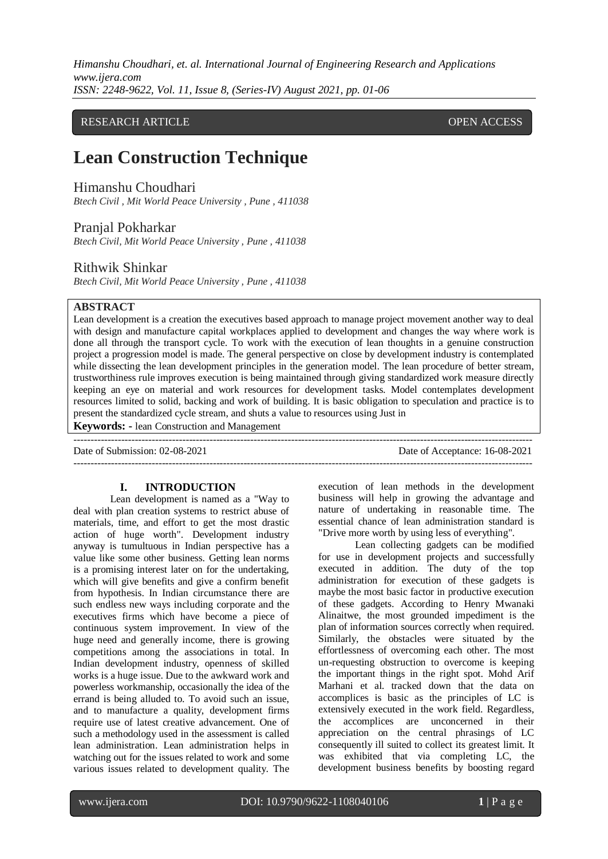# RESEARCH ARTICLE **CONSERVERS** OPEN ACCESS

# **Lean Construction Technique**

Himanshu Choudhari

*Btech Civil , Mit World Peace University , Pune , 411038*

# Pranjal Pokharkar

*Btech Civil, Mit World Peace University , Pune , 411038*

# Rithwik Shinkar

*Btech Civil, Mit World Peace University , Pune , 411038*

# **ABSTRACT**

Lean development is a creation the executives based approach to manage project movement another way to deal with design and manufacture capital workplaces applied to development and changes the way where work is done all through the transport cycle. To work with the execution of lean thoughts in a genuine construction project a progression model is made. The general perspective on close by development industry is contemplated while dissecting the lean development principles in the generation model. The lean procedure of better stream, trustworthiness rule improves execution is being maintained through giving standardized work measure directly keeping an eye on material and work resources for development tasks. Model contemplates development resources limited to solid, backing and work of building. It is basic obligation to speculation and practice is to present the standardized cycle stream, and shuts a value to resources using Just in

---------------------------------------------------------------------------------------------------------------------------------------

**Keywords: -** lean Construction and Management

---------------------------------------------------------------------------------------------------------------------------------------

Date of Submission: 02-08-2021 Date of Acceptance: 16-08-2021

## **I. INTRODUCTION**

Lean development is named as a "Way to deal with plan creation systems to restrict abuse of materials, time, and effort to get the most drastic action of huge worth". Development industry anyway is tumultuous in Indian perspective has a value like some other business. Getting lean norms is a promising interest later on for the undertaking, which will give benefits and give a confirm benefit from hypothesis. In Indian circumstance there are such endless new ways including corporate and the executives firms which have become a piece of continuous system improvement. In view of the huge need and generally income, there is growing competitions among the associations in total. In Indian development industry, openness of skilled works is a huge issue. Due to the awkward work and powerless workmanship, occasionally the idea of the errand is being alluded to. To avoid such an issue, and to manufacture a quality, development firms require use of latest creative advancement. One of such a methodology used in the assessment is called lean administration. Lean administration helps in watching out for the issues related to work and some various issues related to development quality. The execution of lean methods in the development business will help in growing the advantage and nature of undertaking in reasonable time. The essential chance of lean administration standard is "Drive more worth by using less of everything".

Lean collecting gadgets can be modified for use in development projects and successfully executed in addition. The duty of the top administration for execution of these gadgets is maybe the most basic factor in productive execution of these gadgets. According to Henry Mwanaki Alinaitwe, the most grounded impediment is the plan of information sources correctly when required. Similarly, the obstacles were situated by the effortlessness of overcoming each other. The most un-requesting obstruction to overcome is keeping the important things in the right spot. Mohd Arif Marhani et al. tracked down that the data on accomplices is basic as the principles of LC is extensively executed in the work field. Regardless, the accomplices are unconcerned in their appreciation on the central phrasings of LC consequently ill suited to collect its greatest limit. It was exhibited that via completing LC, the development business benefits by boosting regard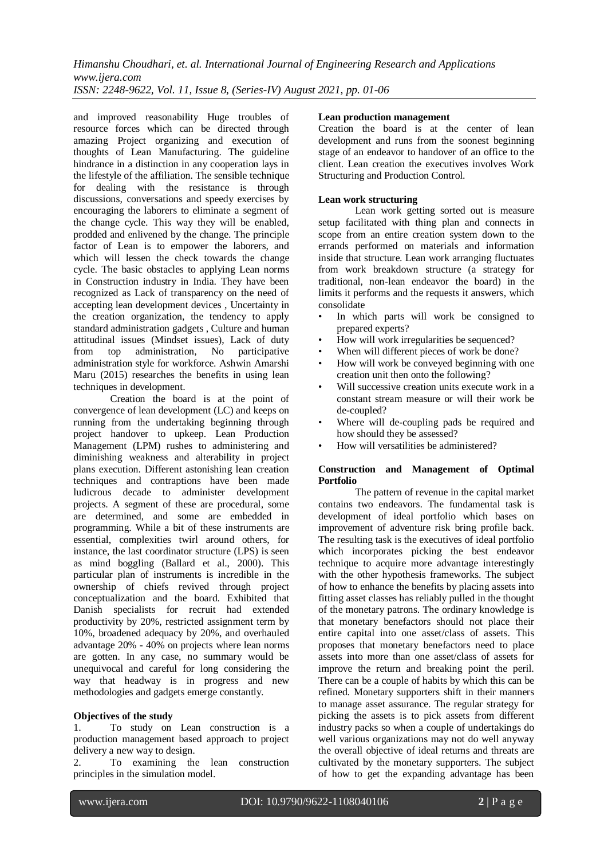and improved reasonability Huge troubles of resource forces which can be directed through amazing Project organizing and execution of thoughts of Lean Manufacturing. The guideline hindrance in a distinction in any cooperation lays in the lifestyle of the affiliation. The sensible technique for dealing with the resistance is through discussions, conversations and speedy exercises by encouraging the laborers to eliminate a segment of the change cycle. This way they will be enabled, prodded and enlivened by the change. The principle factor of Lean is to empower the laborers, and which will lessen the check towards the change cycle. The basic obstacles to applying Lean norms in Construction industry in India. They have been recognized as Lack of transparency on the need of accepting lean development devices , Uncertainty in the creation organization, the tendency to apply standard administration gadgets , Culture and human attitudinal issues (Mindset issues), Lack of duty<br>from top administration, No participative from top administration, No administration style for workforce. Ashwin Amarshi Maru (2015) researches the benefits in using lean techniques in development.

Creation the board is at the point of convergence of lean development (LC) and keeps on running from the undertaking beginning through project handover to upkeep. Lean Production Management (LPM) rushes to administering and diminishing weakness and alterability in project plans execution. Different astonishing lean creation techniques and contraptions have been made ludicrous decade to administer development projects. A segment of these are procedural, some are determined, and some are embedded in programming. While a bit of these instruments are essential, complexities twirl around others, for instance, the last coordinator structure (LPS) is seen as mind boggling (Ballard et al., 2000). This particular plan of instruments is incredible in the ownership of chiefs revived through project conceptualization and the board. Exhibited that Danish specialists for recruit had extended productivity by 20%, restricted assignment term by 10%, broadened adequacy by 20%, and overhauled advantage 20% - 40% on projects where lean norms are gotten. In any case, no summary would be unequivocal and careful for long considering the way that headway is in progress and new methodologies and gadgets emerge constantly.

#### **Objectives of the study**

1. To study on Lean construction is a production management based approach to project delivery a new way to design.

2. To examining the lean construction principles in the simulation model.

#### **Lean production management**

Creation the board is at the center of lean development and runs from the soonest beginning stage of an endeavor to handover of an office to the client. Lean creation the executives involves Work Structuring and Production Control.

#### **Lean work structuring**

Lean work getting sorted out is measure setup facilitated with thing plan and connects in scope from an entire creation system down to the errands performed on materials and information inside that structure. Lean work arranging fluctuates from work breakdown structure (a strategy for traditional, non-lean endeavor the board) in the limits it performs and the requests it answers, which consolidate

- In which parts will work be consigned to prepared experts?
- How will work irregularities be sequenced?
- When will different pieces of work be done?
- How will work be conveyed beginning with one creation unit then onto the following?
- Will successive creation units execute work in a constant stream measure or will their work be de-coupled?
- Where will de-coupling pads be required and how should they be assessed?
- How will versatilities be administered?

#### **Construction and Management of Optimal Portfolio**

The pattern of revenue in the capital market contains two endeavors. The fundamental task is development of ideal portfolio which bases on improvement of adventure risk bring profile back. The resulting task is the executives of ideal portfolio which incorporates picking the best endeavor technique to acquire more advantage interestingly with the other hypothesis frameworks. The subject of how to enhance the benefits by placing assets into fitting asset classes has reliably pulled in the thought of the monetary patrons. The ordinary knowledge is that monetary benefactors should not place their entire capital into one asset/class of assets. This proposes that monetary benefactors need to place assets into more than one asset/class of assets for improve the return and breaking point the peril. There can be a couple of habits by which this can be refined. Monetary supporters shift in their manners to manage asset assurance. The regular strategy for picking the assets is to pick assets from different industry packs so when a couple of undertakings do well various organizations may not do well anyway the overall objective of ideal returns and threats are cultivated by the monetary supporters. The subject of how to get the expanding advantage has been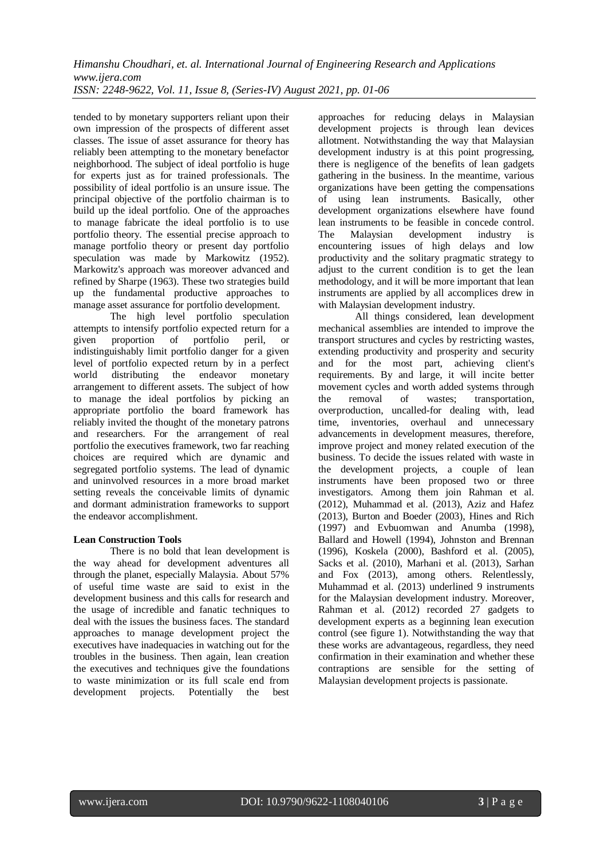tended to by monetary supporters reliant upon their own impression of the prospects of different asset classes. The issue of asset assurance for theory has reliably been attempting to the monetary benefactor neighborhood. The subject of ideal portfolio is huge for experts just as for trained professionals. The possibility of ideal portfolio is an unsure issue. The principal objective of the portfolio chairman is to build up the ideal portfolio. One of the approaches to manage fabricate the ideal portfolio is to use portfolio theory. The essential precise approach to manage portfolio theory or present day portfolio speculation was made by Markowitz (1952). Markowitz's approach was moreover advanced and refined by Sharpe (1963). These two strategies build up the fundamental productive approaches to manage asset assurance for portfolio development.

The high level portfolio speculation attempts to intensify portfolio expected return for a given proportion of portfolio peril, or indistinguishably limit portfolio danger for a given level of portfolio expected return by in a perfect world distributing the endeavor monetary arrangement to different assets. The subject of how to manage the ideal portfolios by picking an appropriate portfolio the board framework has reliably invited the thought of the monetary patrons and researchers. For the arrangement of real portfolio the executives framework, two far reaching choices are required which are dynamic and segregated portfolio systems. The lead of dynamic and uninvolved resources in a more broad market setting reveals the conceivable limits of dynamic and dormant administration frameworks to support the endeavor accomplishment.

## **Lean Construction Tools**

There is no bold that lean development is the way ahead for development adventures all through the planet, especially Malaysia. About 57% of useful time waste are said to exist in the development business and this calls for research and the usage of incredible and fanatic techniques to deal with the issues the business faces. The standard approaches to manage development project the executives have inadequacies in watching out for the troubles in the business. Then again, lean creation the executives and techniques give the foundations to waste minimization or its full scale end from development projects. Potentially the best approaches for reducing delays in Malaysian development projects is through lean devices allotment. Notwithstanding the way that Malaysian development industry is at this point progressing, there is negligence of the benefits of lean gadgets gathering in the business. In the meantime, various organizations have been getting the compensations of using lean instruments. Basically, other development organizations elsewhere have found lean instruments to be feasible in concede control. The Malaysian development industry is encountering issues of high delays and low productivity and the solitary pragmatic strategy to adjust to the current condition is to get the lean methodology, and it will be more important that lean instruments are applied by all accomplices drew in with Malaysian development industry.

All things considered, lean development mechanical assemblies are intended to improve the transport structures and cycles by restricting wastes, extending productivity and prosperity and security and for the most part, achieving client's requirements. By and large, it will incite better movement cycles and worth added systems through the removal of wastes; transportation, overproduction, uncalled-for dealing with, lead time, inventories, overhaul and unnecessary advancements in development measures, therefore, improve project and money related execution of the business. To decide the issues related with waste in the development projects, a couple of lean instruments have been proposed two or three investigators. Among them join Rahman et al. (2012), Muhammad et al. (2013), Aziz and Hafez (2013), Burton and Boeder (2003), Hines and Rich (1997) and Evbuomwan and Anumba (1998), Ballard and Howell (1994), Johnston and Brennan (1996), Koskela (2000), Bashford et al. (2005), Sacks et al. (2010), Marhani et al. (2013), Sarhan and Fox (2013), among others. Relentlessly, Muhammad et al. (2013) underlined 9 instruments for the Malaysian development industry. Moreover, Rahman et al. (2012) recorded 27 gadgets to development experts as a beginning lean execution control (see figure 1). Notwithstanding the way that these works are advantageous, regardless, they need confirmation in their examination and whether these contraptions are sensible for the setting of Malaysian development projects is passionate.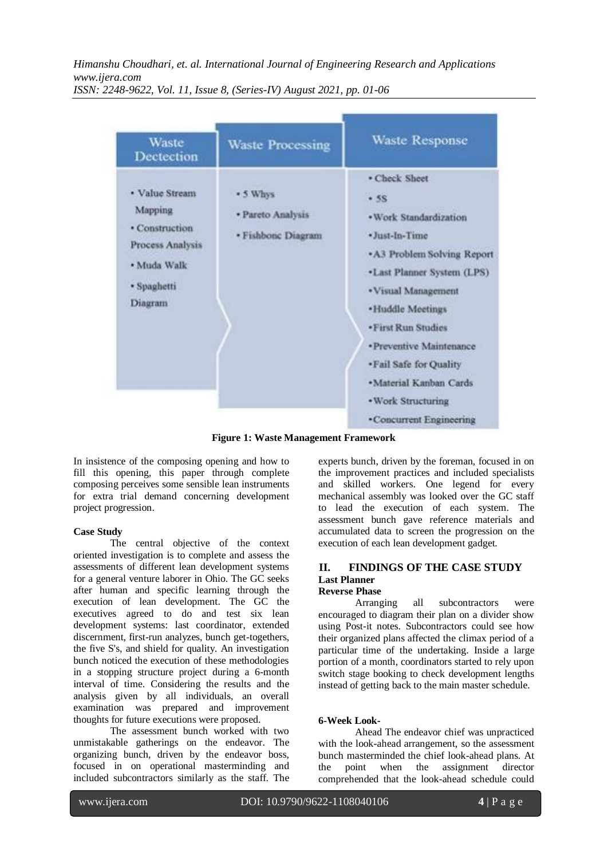| Waste<br>Dectection                                                                                      | <b>Waste Processing</b>                             | <b>Waste Response</b>                                                                                                                                                                                                                                                                                    |
|----------------------------------------------------------------------------------------------------------|-----------------------------------------------------|----------------------------------------------------------------------------------------------------------------------------------------------------------------------------------------------------------------------------------------------------------------------------------------------------------|
| • Value Stream<br>Mapping<br>· Construction<br>Process Analysis<br>· Muda Walk<br>· Spaghetti<br>Diagram | * 5 Whys<br>· Pareto Analysis<br>· Fishbonc Diagram | • Check Sheet<br>$-5S$<br>· Work Standardization<br>· Just-In-Time<br>• A3 Problem Solving Report<br>•Last Planner System (LPS)<br>· Visual Management<br>·Huddle Meetings<br>· First Run Studies<br>· Preventive Maintenance<br>• Fail Safe for Quality<br>·Material Kanban Cards<br>• Work Structuring |

**Figure 1: Waste Management Framework**

In insistence of the composing opening and how to fill this opening, this paper through complete composing perceives some sensible lean instruments for extra trial demand concerning development project progression.

## **Case Study**

The central objective of the context oriented investigation is to complete and assess the assessments of different lean development systems for a general venture laborer in Ohio. The GC seeks after human and specific learning through the execution of lean development. The GC the executives agreed to do and test six lean development systems: last coordinator, extended discernment, first-run analyzes, bunch get-togethers, the five S's, and shield for quality. An investigation bunch noticed the execution of these methodologies in a stopping structure project during a 6-month interval of time. Considering the results and the analysis given by all individuals, an overall examination was prepared and improvement thoughts for future executions were proposed.

The assessment bunch worked with two unmistakable gatherings on the endeavor. The organizing bunch, driven by the endeavor boss, focused in on operational masterminding and included subcontractors similarly as the staff. The experts bunch, driven by the foreman, focused in on the improvement practices and included specialists and skilled workers. One legend for every mechanical assembly was looked over the GC staff to lead the execution of each system. The assessment bunch gave reference materials and accumulated data to screen the progression on the execution of each lean development gadget.

#### **II. FINDINGS OF THE CASE STUDY Last Planner Reverse Phase**

Arranging all subcontractors were encouraged to diagram their plan on a divider show using Post-it notes. Subcontractors could see how their organized plans affected the climax period of a particular time of the undertaking. Inside a large portion of a month, coordinators started to rely upon switch stage booking to check development lengths instead of getting back to the main master schedule.

# **6-Week Look-**

Ahead The endeavor chief was unpracticed with the look-ahead arrangement, so the assessment bunch masterminded the chief look-ahead plans. At the point when the assignment director comprehended that the look-ahead schedule could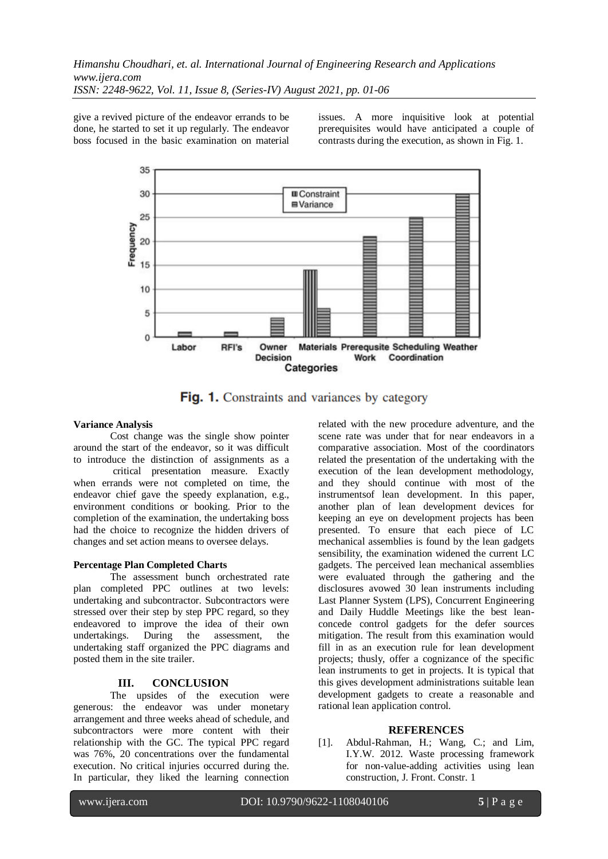give a revived picture of the endeavor errands to be done, he started to set it up regularly. The endeavor boss focused in the basic examination on material issues. A more inquisitive look at potential prerequisites would have anticipated a couple of contrasts during the execution, as shown in Fig. 1.



Fig. 1. Constraints and variances by category

## **Variance Analysis**

Cost change was the single show pointer around the start of the endeavor, so it was difficult to introduce the distinction of assignments as a critical presentation measure. Exactly when errands were not completed on time, the endeavor chief gave the speedy explanation, e.g., environment conditions or booking. Prior to the completion of the examination, the undertaking boss had the choice to recognize the hidden drivers of changes and set action means to oversee delays.

## **Percentage Plan Completed Charts**

The assessment bunch orchestrated rate plan completed PPC outlines at two levels: undertaking and subcontractor. Subcontractors were stressed over their step by step PPC regard, so they endeavored to improve the idea of their own undertakings. During the assessment, the undertaking staff organized the PPC diagrams and posted them in the site trailer.

# **III. CONCLUSION**

The upsides of the execution were generous: the endeavor was under monetary arrangement and three weeks ahead of schedule, and subcontractors were more content with their relationship with the GC. The typical PPC regard was 76%, 20 concentrations over the fundamental execution. No critical injuries occurred during the. In particular, they liked the learning connection related with the new procedure adventure, and the scene rate was under that for near endeavors in a comparative association. Most of the coordinators related the presentation of the undertaking with the execution of the lean development methodology, and they should continue with most of the instrumentsof lean development. In this paper, another plan of lean development devices for keeping an eye on development projects has been presented. To ensure that each piece of LC mechanical assemblies is found by the lean gadgets sensibility, the examination widened the current LC gadgets. The perceived lean mechanical assemblies were evaluated through the gathering and the disclosures avowed 30 lean instruments including Last Planner System (LPS), Concurrent Engineering and Daily Huddle Meetings like the best leanconcede control gadgets for the defer sources mitigation. The result from this examination would fill in as an execution rule for lean development projects; thusly, offer a cognizance of the specific lean instruments to get in projects. It is typical that this gives development administrations suitable lean development gadgets to create a reasonable and rational lean application control.

# **REFERENCES**

[1]. Abdul-Rahman, H.; Wang, C.; and Lim, I.Y.W. 2012. Waste processing framework for non-value-adding activities using lean construction, J. Front. Constr. 1